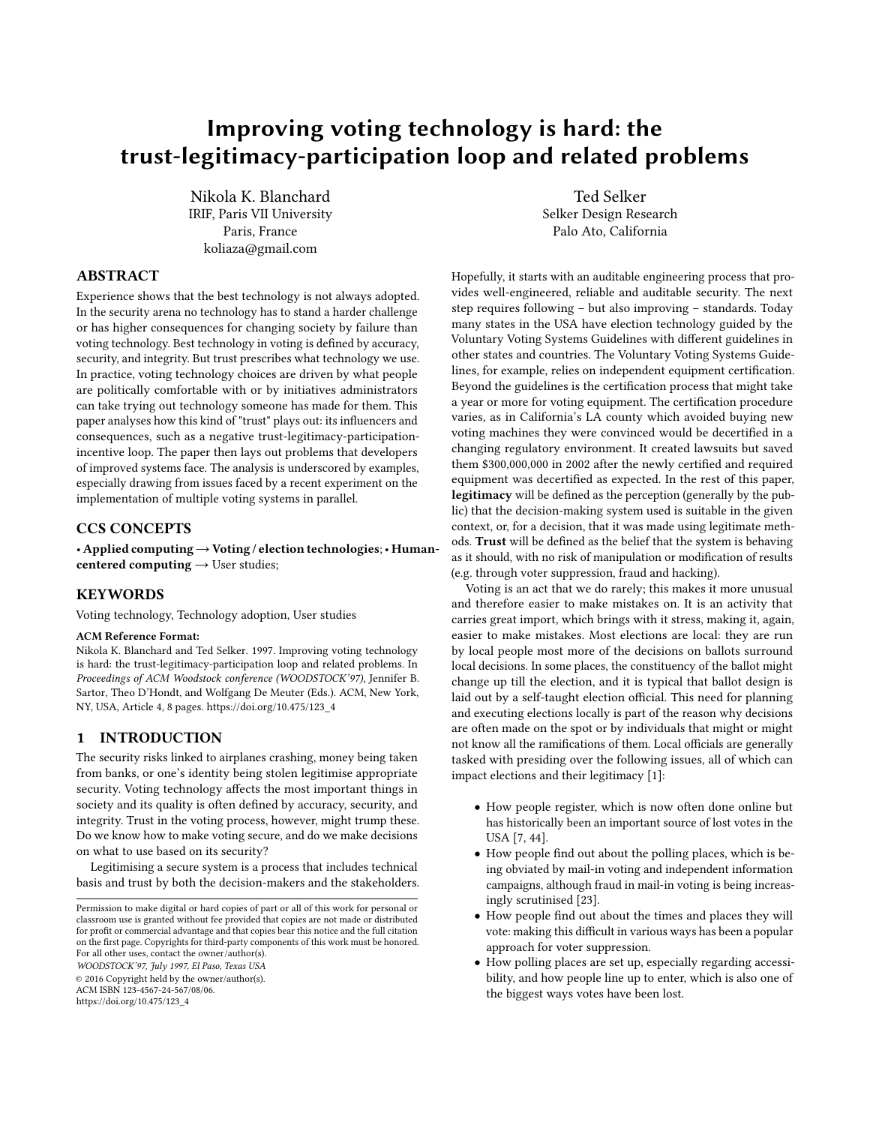# Improving voting technology is hard: the trust-legitimacy-participation loop and related problems

Nikola K. Blanchard IRIF, Paris VII University Paris, France koliaza@gmail.com

### ABSTRACT

Experience shows that the best technology is not always adopted. In the security arena no technology has to stand a harder challenge or has higher consequences for changing society by failure than voting technology. Best technology in voting is defined by accuracy, security, and integrity. But trust prescribes what technology we use. In practice, voting technology choices are driven by what people are politically comfortable with or by initiatives administrators can take trying out technology someone has made for them. This paper analyses how this kind of "trust" plays out: its influencers and consequences, such as a negative trust-legitimacy-participationincentive loop. The paper then lays out problems that developers of improved systems face. The analysis is underscored by examples, especially drawing from issues faced by a recent experiment on the implementation of multiple voting systems in parallel.

#### CCS CONCEPTS

• Applied computing→Voting / election technologies;• Humancentered computing  $\rightarrow$  User studies;

### **KEYWORDS**

Voting technology, Technology adoption, User studies

#### ACM Reference Format:

Nikola K. Blanchard and Ted Selker. 1997. Improving voting technology is hard: the trust-legitimacy-participation loop and related problems. In Proceedings of ACM Woodstock conference (WOODSTOCK'97), Jennifer B. Sartor, Theo D'Hondt, and Wolfgang De Meuter (Eds.). ACM, New York, NY, USA, Article 4, [8](#page-7-0) pages. [https://doi.org/10.475/123\\_4](https://doi.org/10.475/123_4)

#### 1 INTRODUCTION

The security risks linked to airplanes crashing, money being taken from banks, or one's identity being stolen legitimise appropriate security. Voting technology affects the most important things in society and its quality is often defined by accuracy, security, and integrity. Trust in the voting process, however, might trump these. Do we know how to make voting secure, and do we make decisions on what to use based on its security?

Legitimising a secure system is a process that includes technical basis and trust by both the decision-makers and the stakeholders.

WOODSTOCK'97, July 1997, El Paso, Texas USA

© 2016 Copyright held by the owner/author(s).

ACM ISBN 123-4567-24-567/08/06. [https://doi.org/10.475/123\\_4](https://doi.org/10.475/123_4)

Ted Selker Selker Design Research Palo Ato, California

Hopefully, it starts with an auditable engineering process that provides well-engineered, reliable and auditable security. The next step requires following – but also improving – standards. Today many states in the USA have election technology guided by the Voluntary Voting Systems Guidelines with different guidelines in other states and countries. The Voluntary Voting Systems Guidelines, for example, relies on independent equipment certification. Beyond the guidelines is the certification process that might take a year or more for voting equipment. The certification procedure varies, as in California's LA county which avoided buying new voting machines they were convinced would be decertified in a changing regulatory environment. It created lawsuits but saved them \$300,000,000 in 2002 after the newly certified and required equipment was decertified as expected. In the rest of this paper, legitimacy will be defined as the perception (generally by the public) that the decision-making system used is suitable in the given context, or, for a decision, that it was made using legitimate methods. Trust will be defined as the belief that the system is behaving as it should, with no risk of manipulation or modification of results (e.g. through voter suppression, fraud and hacking).

Voting is an act that we do rarely; this makes it more unusual and therefore easier to make mistakes on. It is an activity that carries great import, which brings with it stress, making it, again, easier to make mistakes. Most elections are local: they are run by local people most more of the decisions on ballots surround local decisions. In some places, the constituency of the ballot might change up till the election, and it is typical that ballot design is laid out by a self-taught election official. This need for planning and executing elections locally is part of the reason why decisions are often made on the spot or by individuals that might or might not know all the ramifications of them. Local officials are generally tasked with presiding over the following issues, all of which can impact elections and their legitimacy [\[1\]](#page-6-0):

- How people register, which is now often done online but has historically been an important source of lost votes in the USA [\[7,](#page-6-1) [44\]](#page-7-1).
- How people find out about the polling places, which is being obviated by mail-in voting and independent information campaigns, although fraud in mail-in voting is being increasingly scrutinised [\[23\]](#page-6-2).
- How people find out about the times and places they will vote: making this difficult in various ways has been a popular approach for voter suppression.
- How polling places are set up, especially regarding accessibility, and how people line up to enter, which is also one of the biggest ways votes have been lost.

Permission to make digital or hard copies of part or all of this work for personal or classroom use is granted without fee provided that copies are not made or distributed for profit or commercial advantage and that copies bear this notice and the full citation on the first page. Copyrights for third-party components of this work must be honored. For all other uses, contact the owner/author(s).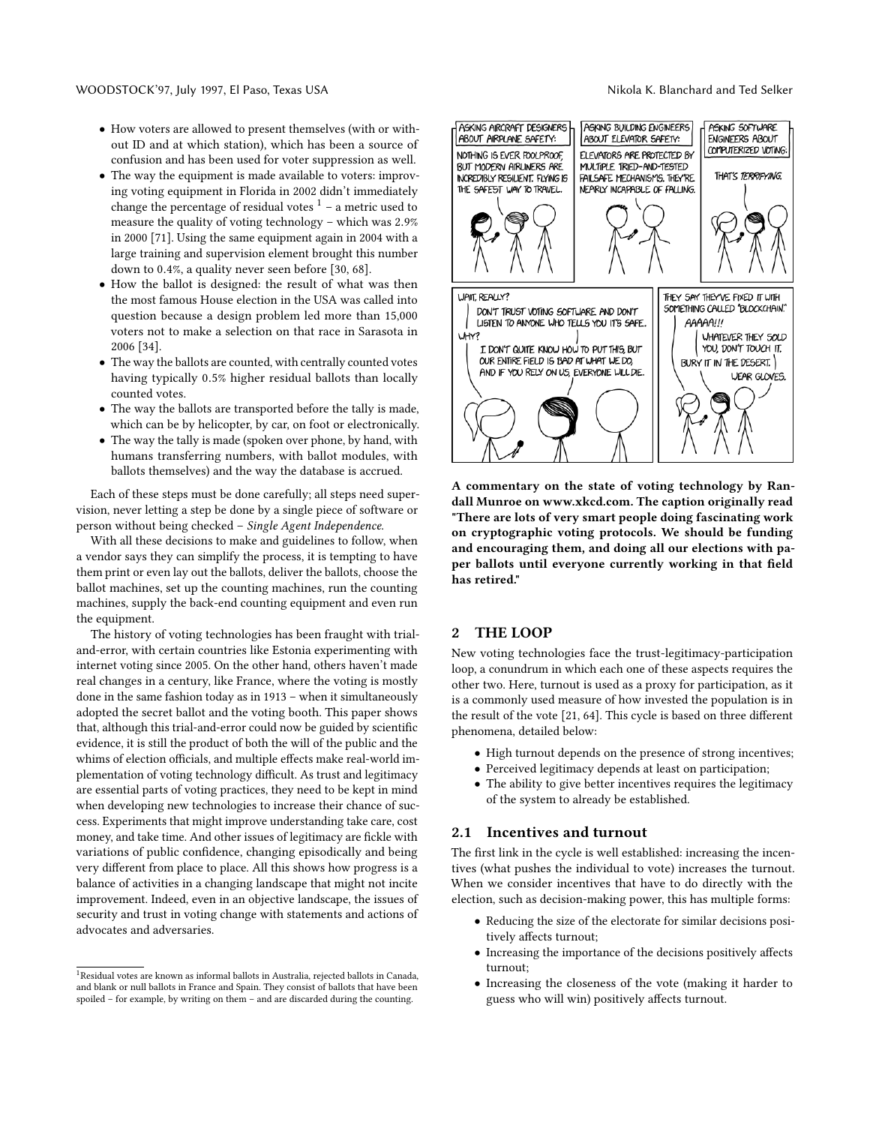- How voters are allowed to present themselves (with or without ID and at which station), which has been a source of confusion and has been used for voter suppression as well.
- The way the equipment is made available to voters: improving voting equipment in Florida in 2002 didn't immediately change the percentage of residual votes  $1 - a$  $1 - a$  metric used to measure the quality of voting technology – which was <sup>2</sup>.9% in 2000 [\[71\]](#page-7-2). Using the same equipment again in 2004 with a large training and supervision element brought this number down to <sup>0</sup>.4%, a quality never seen before [\[30,](#page-7-3) [68\]](#page-7-4).
- How the ballot is designed: the result of what was then the most famous House election in the USA was called into question because a design problem led more than 15,000 voters not to make a selection on that race in Sarasota in 2006 [\[34\]](#page-7-5).
- The way the ballots are counted, with centrally counted votes having typically <sup>0</sup>.5% higher residual ballots than locally counted votes.
- The way the ballots are transported before the tally is made, which can be by helicopter, by car, on foot or electronically.
- The way the tally is made (spoken over phone, by hand, with humans transferring numbers, with ballot modules, with ballots themselves) and the way the database is accrued.

Each of these steps must be done carefully; all steps need supervision, never letting a step be done by a single piece of software or person without being checked – Single Agent Independence.

With all these decisions to make and guidelines to follow, when a vendor says they can simplify the process, it is tempting to have them print or even lay out the ballots, deliver the ballots, choose the ballot machines, set up the counting machines, run the counting machines, supply the back-end counting equipment and even run the equipment.

The history of voting technologies has been fraught with trialand-error, with certain countries like Estonia experimenting with internet voting since 2005. On the other hand, others haven't made real changes in a century, like France, where the voting is mostly done in the same fashion today as in 1913 – when it simultaneously adopted the secret ballot and the voting booth. This paper shows that, although this trial-and-error could now be guided by scientific evidence, it is still the product of both the will of the public and the whims of election officials, and multiple effects make real-world implementation of voting technology difficult. As trust and legitimacy are essential parts of voting practices, they need to be kept in mind when developing new technologies to increase their chance of success. Experiments that might improve understanding take care, cost money, and take time. And other issues of legitimacy are fickle with variations of public confidence, changing episodically and being very different from place to place. All this shows how progress is a balance of activities in a changing landscape that might not incite improvement. Indeed, even in an objective landscape, the issues of security and trust in voting change with statements and actions of advocates and adversaries.



A commentary on the state of voting technology by Randall Munroe on www.xkcd.com. The caption originally read "There are lots of very smart people doing fascinating work on cryptographic voting protocols. We should be funding and encouraging them, and doing all our elections with paper ballots until everyone currently working in that field has retired."

### 2 THE LOOP

New voting technologies face the trust-legitimacy-participation loop, a conundrum in which each one of these aspects requires the other two. Here, turnout is used as a proxy for participation, as it is a commonly used measure of how invested the population is in the result of the vote [\[21,](#page-6-3) [64\]](#page-7-6). This cycle is based on three different phenomena, detailed below:

- High turnout depends on the presence of strong incentives;
- Perceived legitimacy depends at least on participation;
- The ability to give better incentives requires the legitimacy of the system to already be established.

#### 2.1 Incentives and turnout

The first link in the cycle is well established: increasing the incentives (what pushes the individual to vote) increases the turnout. When we consider incentives that have to do directly with the election, such as decision-making power, this has multiple forms:

- Reducing the size of the electorate for similar decisions positively affects turnout;
- Increasing the importance of the decisions positively affects turnout;
- Increasing the closeness of the vote (making it harder to guess who will win) positively affects turnout.

<span id="page-1-0"></span><sup>&</sup>lt;sup>1</sup>Residual votes are known as informal ballots in Australia, rejected ballots in Canada, and blank or null ballots in France and Spain. They consist of ballots that have been spoiled – for example, by writing on them – and are discarded during the counting.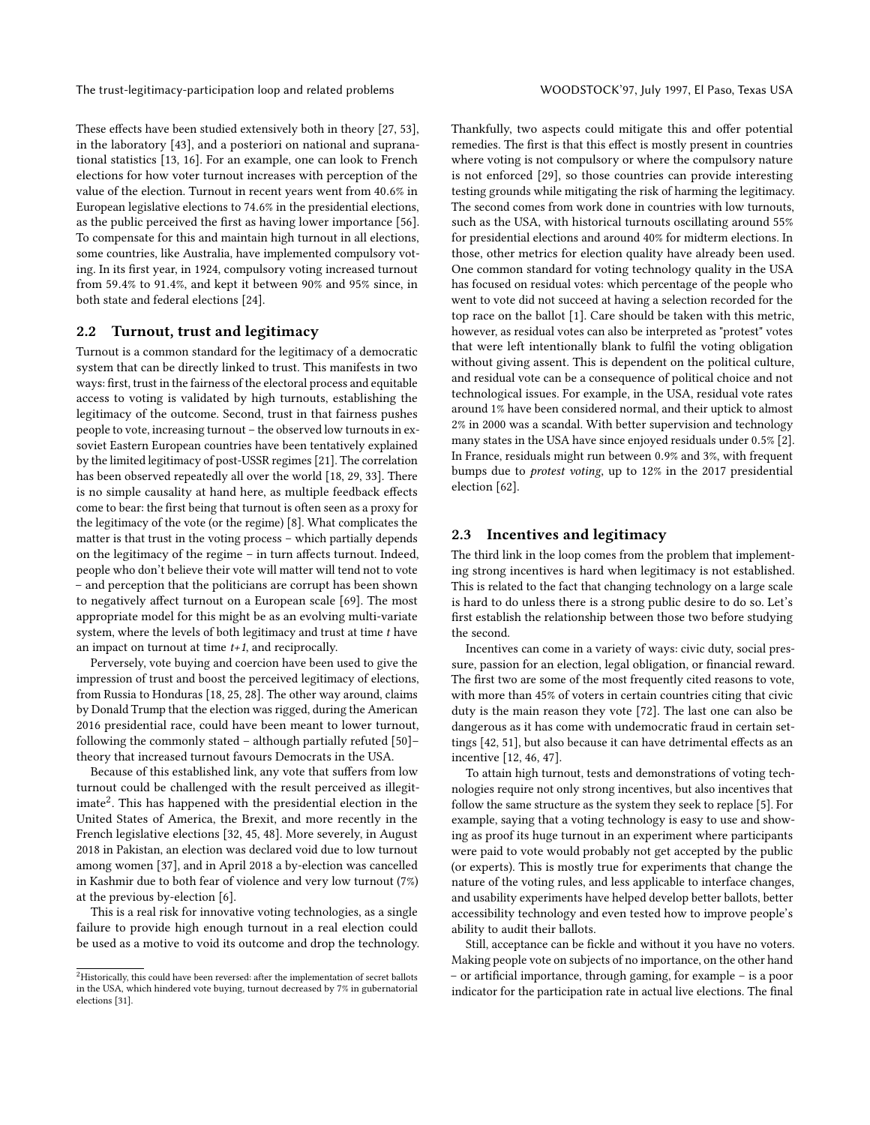The trust-legitimacy-participation loop and related problems WOODSTOCK'97, July 1997, El Paso, Texas USA

These effects have been studied extensively both in theory [\[27,](#page-7-7) [53\]](#page-7-8), in the laboratory [\[43\]](#page-7-9), and a posteriori on national and supranational statistics [\[13,](#page-6-4) [16\]](#page-6-5). For an example, one can look to French elections for how voter turnout increases with perception of the value of the election. Turnout in recent years went from <sup>40</sup>.6% in European legislative elections to <sup>74</sup>.6% in the presidential elections, as the public perceived the first as having lower importance [\[56\]](#page-7-10). To compensate for this and maintain high turnout in all elections, some countries, like Australia, have implemented compulsory voting. In its first year, in 1924, compulsory voting increased turnout from <sup>59</sup>.4% to <sup>91</sup>.4%, and kept it between 90% and 95% since, in both state and federal elections [\[24\]](#page-6-6).

#### 2.2 Turnout, trust and legitimacy

Turnout is a common standard for the legitimacy of a democratic system that can be directly linked to trust. This manifests in two ways: first, trust in the fairness of the electoral process and equitable access to voting is validated by high turnouts, establishing the legitimacy of the outcome. Second, trust in that fairness pushes people to vote, increasing turnout – the observed low turnouts in exsoviet Eastern European countries have been tentatively explained by the limited legitimacy of post-USSR regimes [\[21\]](#page-6-3). The correlation has been observed repeatedly all over the world [\[18,](#page-6-7) [29,](#page-7-11) [33\]](#page-7-12). There is no simple causality at hand here, as multiple feedback effects come to bear: the first being that turnout is often seen as a proxy for the legitimacy of the vote (or the regime) [\[8\]](#page-6-8). What complicates the matter is that trust in the voting process – which partially depends on the legitimacy of the regime – in turn affects turnout. Indeed, people who don't believe their vote will matter will tend not to vote – and perception that the politicians are corrupt has been shown to negatively affect turnout on a European scale [\[69\]](#page-7-13). The most appropriate model for this might be as an evolving multi-variate system, where the levels of both legitimacy and trust at time  $t$  have an impact on turnout at time  $t+1$ , and reciprocally.

Perversely, vote buying and coercion have been used to give the impression of trust and boost the perceived legitimacy of elections, from Russia to Honduras [\[18,](#page-6-7) [25,](#page-7-14) [28\]](#page-7-15). The other way around, claims by Donald Trump that the election was rigged, during the American 2016 presidential race, could have been meant to lower turnout, following the commonly stated – although partially refuted [\[50\]](#page-7-16)– theory that increased turnout favours Democrats in the USA.

Because of this established link, any vote that suffers from low turnout could be challenged with the result perceived as illegit-imate<sup>[2](#page-2-0)</sup>. This has happened with the presidential election in the United States of America, the Brexit, and more recently in the French legislative elections [\[32,](#page-7-17) [45,](#page-7-18) [48\]](#page-7-19). More severely, in August 2018 in Pakistan, an election was declared void due to low turnout among women [\[37\]](#page-7-20), and in April 2018 a by-election was cancelled in Kashmir due to both fear of violence and very low turnout (7%) at the previous by-election [\[6\]](#page-6-9).

This is a real risk for innovative voting technologies, as a single failure to provide high enough turnout in a real election could be used as a motive to void its outcome and drop the technology. Thankfully, two aspects could mitigate this and offer potential remedies. The first is that this effect is mostly present in countries where voting is not compulsory or where the compulsory nature is not enforced [\[29\]](#page-7-11), so those countries can provide interesting testing grounds while mitigating the risk of harming the legitimacy. The second comes from work done in countries with low turnouts, such as the USA, with historical turnouts oscillating around 55% for presidential elections and around 40% for midterm elections. In those, other metrics for election quality have already been used. One common standard for voting technology quality in the USA has focused on residual votes: which percentage of the people who went to vote did not succeed at having a selection recorded for the top race on the ballot [\[1\]](#page-6-0). Care should be taken with this metric, however, as residual votes can also be interpreted as "protest" votes that were left intentionally blank to fulfil the voting obligation without giving assent. This is dependent on the political culture, and residual vote can be a consequence of political choice and not technological issues. For example, in the USA, residual vote rates around 1% have been considered normal, and their uptick to almost 2% in 2000 was a scandal. With better supervision and technology many states in the USA have since enjoyed residuals under <sup>0</sup>.5% [\[2\]](#page-6-10). In France, residuals might run between <sup>0</sup>.9% and 3%, with frequent bumps due to protest voting, up to 12% in the 2017 presidential election [\[62\]](#page-7-22).

#### 2.3 Incentives and legitimacy

The third link in the loop comes from the problem that implementing strong incentives is hard when legitimacy is not established. This is related to the fact that changing technology on a large scale is hard to do unless there is a strong public desire to do so. Let's first establish the relationship between those two before studying the second.

Incentives can come in a variety of ways: civic duty, social pressure, passion for an election, legal obligation, or financial reward. The first two are some of the most frequently cited reasons to vote, with more than 45% of voters in certain countries citing that civic duty is the main reason they vote [\[72\]](#page-7-23). The last one can also be dangerous as it has come with undemocratic fraud in certain settings [\[42,](#page-7-24) [51\]](#page-7-25), but also because it can have detrimental effects as an incentive [\[12,](#page-6-11) [46,](#page-7-26) [47\]](#page-7-27).

To attain high turnout, tests and demonstrations of voting technologies require not only strong incentives, but also incentives that follow the same structure as the system they seek to replace [\[5\]](#page-6-12). For example, saying that a voting technology is easy to use and showing as proof its huge turnout in an experiment where participants were paid to vote would probably not get accepted by the public (or experts). This is mostly true for experiments that change the nature of the voting rules, and less applicable to interface changes, and usability experiments have helped develop better ballots, better accessibility technology and even tested how to improve people's ability to audit their ballots.

Still, acceptance can be fickle and without it you have no voters. Making people vote on subjects of no importance, on the other hand – or artificial importance, through gaming, for example – is a poor indicator for the participation rate in actual live elections. The final

<span id="page-2-0"></span> $^2\rm{Historically, }$  this could have been reversed: after the implementation of secret ballots in the USA, which hindered vote buying, turnout decreased by 7% in gubernatorial elections [\[31\]](#page-7-21).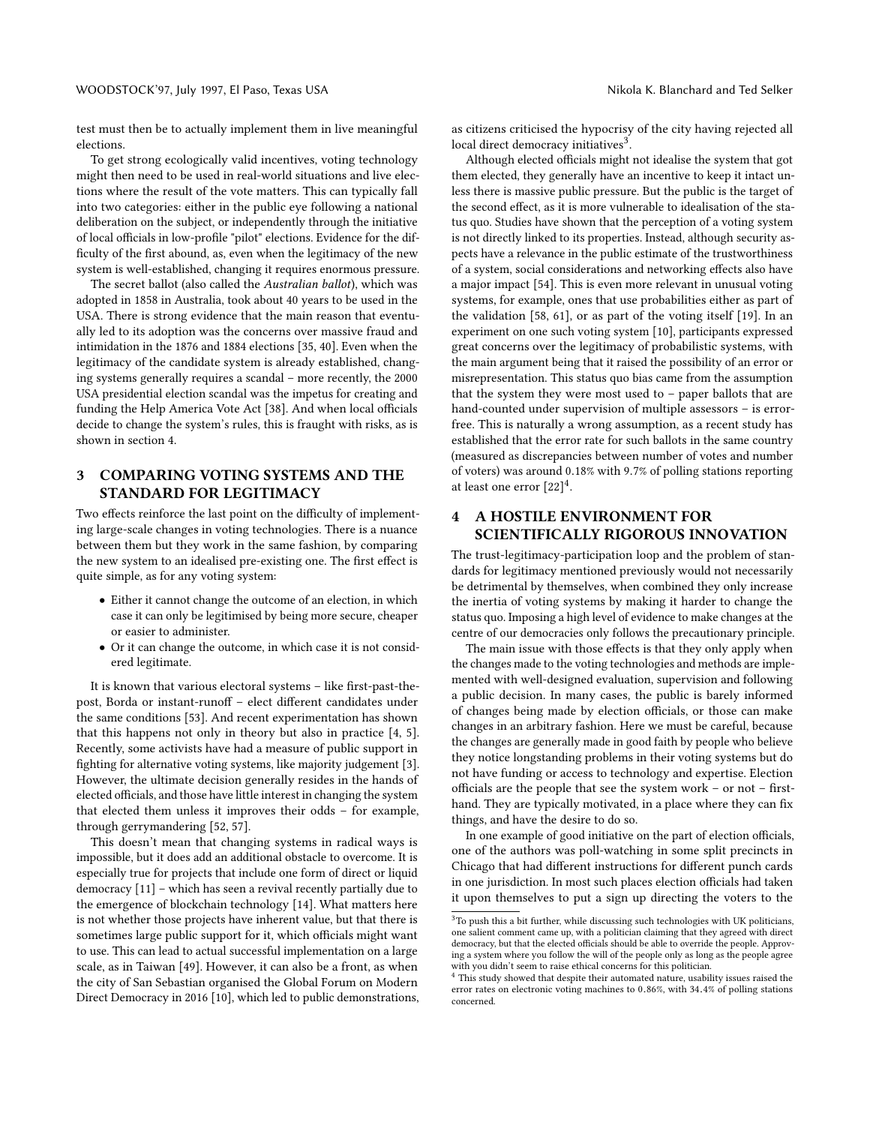test must then be to actually implement them in live meaningful elections.

To get strong ecologically valid incentives, voting technology might then need to be used in real-world situations and live elections where the result of the vote matters. This can typically fall into two categories: either in the public eye following a national deliberation on the subject, or independently through the initiative of local officials in low-profile "pilot" elections. Evidence for the difficulty of the first abound, as, even when the legitimacy of the new system is well-established, changing it requires enormous pressure.

The secret ballot (also called the Australian ballot), which was adopted in 1858 in Australia, took about 40 years to be used in the USA. There is strong evidence that the main reason that eventually led to its adoption was the concerns over massive fraud and intimidation in the 1876 and 1884 elections [\[35,](#page-7-28) [40\]](#page-7-29). Even when the legitimacy of the candidate system is already established, changing systems generally requires a scandal – more recently, the 2000 USA presidential election scandal was the impetus for creating and funding the Help America Vote Act [\[38\]](#page-7-30). And when local officials decide to change the system's rules, this is fraught with risks, as is shown in section 4.

## 3 COMPARING VOTING SYSTEMS AND THE STANDARD FOR LEGITIMACY

Two effects reinforce the last point on the difficulty of implementing large-scale changes in voting technologies. There is a nuance between them but they work in the same fashion, by comparing the new system to an idealised pre-existing one. The first effect is quite simple, as for any voting system:

- Either it cannot change the outcome of an election, in which case it can only be legitimised by being more secure, cheaper or easier to administer.
- Or it can change the outcome, in which case it is not considered legitimate.

It is known that various electoral systems – like first-past-thepost, Borda or instant-runoff – elect different candidates under the same conditions [\[53\]](#page-7-8). And recent experimentation has shown that this happens not only in theory but also in practice [\[4,](#page-6-13) [5\]](#page-6-12). Recently, some activists have had a measure of public support in fighting for alternative voting systems, like majority judgement [\[3\]](#page-6-14). However, the ultimate decision generally resides in the hands of elected officials, and those have little interest in changing the system that elected them unless it improves their odds – for example, through gerrymandering [\[52,](#page-7-31) [57\]](#page-7-32).

This doesn't mean that changing systems in radical ways is impossible, but it does add an additional obstacle to overcome. It is especially true for projects that include one form of direct or liquid democracy [\[11\]](#page-6-15) – which has seen a revival recently partially due to the emergence of blockchain technology [\[14\]](#page-6-16). What matters here is not whether those projects have inherent value, but that there is sometimes large public support for it, which officials might want to use. This can lead to actual successful implementation on a large scale, as in Taiwan [\[49\]](#page-7-33). However, it can also be a front, as when the city of San Sebastian organised the Global Forum on Modern Direct Democracy in 2016 [\[10\]](#page-6-17), which led to public demonstrations, as citizens criticised the hypocrisy of the city having rejected all local direct democracy initiatives<sup>[3](#page-3-0)</sup>.

Although elected officials might not idealise the system that got them elected, they generally have an incentive to keep it intact unless there is massive public pressure. But the public is the target of the second effect, as it is more vulnerable to idealisation of the status quo. Studies have shown that the perception of a voting system is not directly linked to its properties. Instead, although security aspects have a relevance in the public estimate of the trustworthiness of a system, social considerations and networking effects also have a major impact [\[54\]](#page-7-34). This is even more relevant in unusual voting systems, for example, ones that use probabilities either as part of the validation [\[58,](#page-7-35) [61\]](#page-7-36), or as part of the voting itself [\[19\]](#page-6-18). In an experiment on one such voting system [\[10\]](#page-6-17), participants expressed great concerns over the legitimacy of probabilistic systems, with the main argument being that it raised the possibility of an error or misrepresentation. This status quo bias came from the assumption that the system they were most used to – paper ballots that are hand-counted under supervision of multiple assessors – is errorfree. This is naturally a wrong assumption, as a recent study has established that the error rate for such ballots in the same country (measured as discrepancies between number of votes and number of voters) was around <sup>0</sup>.18% with <sup>9</sup>.7% of polling stations reporting at least one error  $[22]^4$  $[22]^4$  $[22]^4$ .

# 4 A HOSTILE ENVIRONMENT FOR SCIENTIFICALLY RIGOROUS INNOVATION

The trust-legitimacy-participation loop and the problem of standards for legitimacy mentioned previously would not necessarily be detrimental by themselves, when combined they only increase the inertia of voting systems by making it harder to change the status quo. Imposing a high level of evidence to make changes at the centre of our democracies only follows the precautionary principle.

The main issue with those effects is that they only apply when the changes made to the voting technologies and methods are implemented with well-designed evaluation, supervision and following a public decision. In many cases, the public is barely informed of changes being made by election officials, or those can make changes in an arbitrary fashion. Here we must be careful, because the changes are generally made in good faith by people who believe they notice longstanding problems in their voting systems but do not have funding or access to technology and expertise. Election officials are the people that see the system work – or not – firsthand. They are typically motivated, in a place where they can fix things, and have the desire to do so.

In one example of good initiative on the part of election officials, one of the authors was poll-watching in some split precincts in Chicago that had different instructions for different punch cards in one jurisdiction. In most such places election officials had taken it upon themselves to put a sign up directing the voters to the

<span id="page-3-0"></span> $3$ To push this a bit further, while discussing such technologies with UK politicians, one salient comment came up, with a politician claiming that they agreed with direct democracy, but that the elected officials should be able to override the people. Approving a system where you follow the will of the people only as long as the people agree with you didn't seem to raise ethical concerns for this politician.

<span id="page-3-1"></span><sup>&</sup>lt;sup>4</sup> This study showed that despite their automated nature, usability issues raised the error rates on electronic voting machines to <sup>0</sup>.86%, with <sup>34</sup>.4% of polling stations concerned.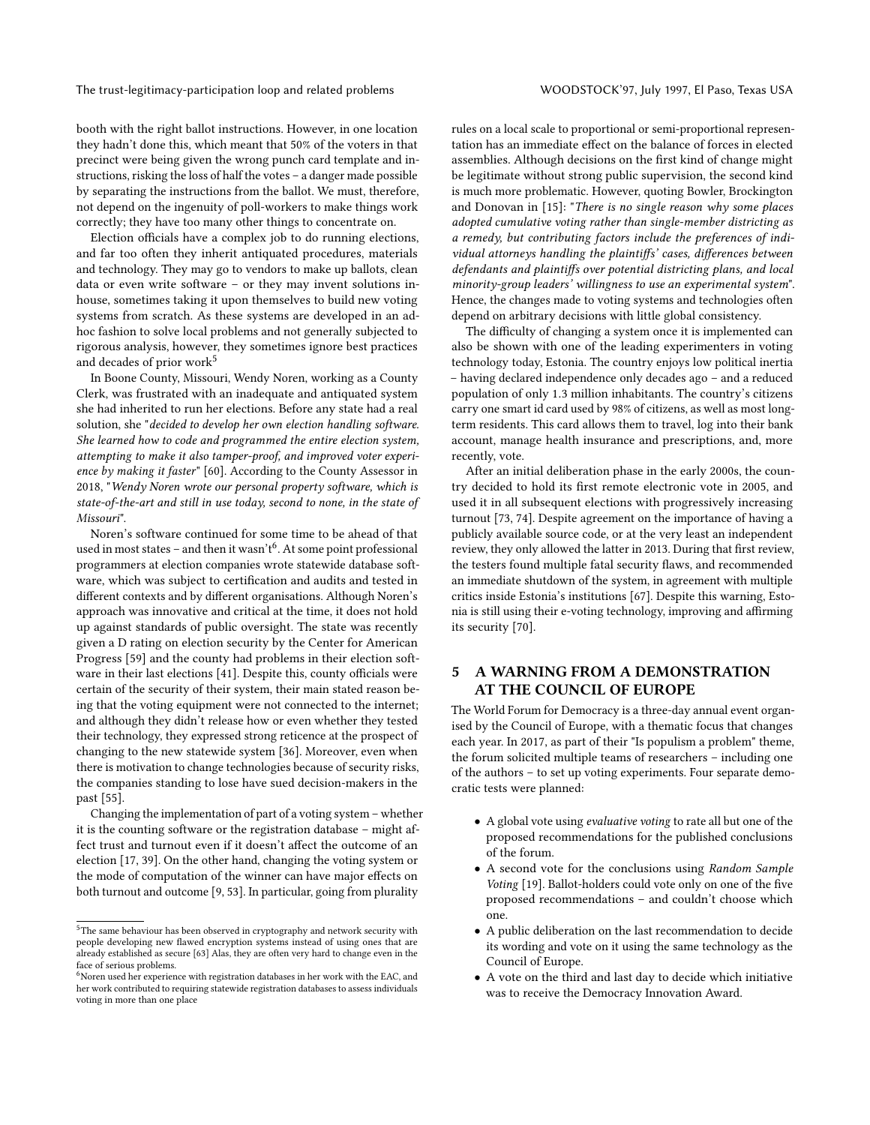The trust-legitimacy-participation loop and related problems WOODSTOCK'97, July 1997, El Paso, Texas USA

booth with the right ballot instructions. However, in one location they hadn't done this, which meant that 50% of the voters in that precinct were being given the wrong punch card template and instructions, risking the loss of half the votes – a danger made possible by separating the instructions from the ballot. We must, therefore, not depend on the ingenuity of poll-workers to make things work correctly; they have too many other things to concentrate on.

Election officials have a complex job to do running elections, and far too often they inherit antiquated procedures, materials and technology. They may go to vendors to make up ballots, clean data or even write software – or they may invent solutions inhouse, sometimes taking it upon themselves to build new voting systems from scratch. As these systems are developed in an adhoc fashion to solve local problems and not generally subjected to rigorous analysis, however, they sometimes ignore best practices and decades of prior work<sup>[5](#page-4-0)</sup>

In Boone County, Missouri, Wendy Noren, working as a County Clerk, was frustrated with an inadequate and antiquated system she had inherited to run her elections. Before any state had a real solution, she "decided to develop her own election handling software. She learned how to code and programmed the entire election system, attempting to make it also tamper-proof, and improved voter experience by making it faster" [\[60\]](#page-7-37). According to the County Assessor in 2018, "Wendy Noren wrote our personal property software, which is state-of-the-art and still in use today, second to none, in the state of Missouri".

Noren's software continued for some time to be ahead of that used in most states – and then it wasn't $^6$  $^6$ . At some point professional programmers at election companies wrote statewide database software, which was subject to certification and audits and tested in different contexts and by different organisations. Although Noren's approach was innovative and critical at the time, it does not hold up against standards of public oversight. The state was recently given a D rating on election security by the Center for American Progress [\[59\]](#page-7-38) and the county had problems in their election software in their last elections [\[41\]](#page-7-39). Despite this, county officials were certain of the security of their system, their main stated reason being that the voting equipment were not connected to the internet; and although they didn't release how or even whether they tested their technology, they expressed strong reticence at the prospect of changing to the new statewide system [\[36\]](#page-7-40). Moreover, even when there is motivation to change technologies because of security risks, the companies standing to lose have sued decision-makers in the past [\[55\]](#page-7-41).

Changing the implementation of part of a voting system – whether it is the counting software or the registration database – might affect trust and turnout even if it doesn't affect the outcome of an election [\[17,](#page-6-20) [39\]](#page-7-42). On the other hand, changing the voting system or the mode of computation of the winner can have major effects on both turnout and outcome [\[9,](#page-6-21) [53\]](#page-7-8). In particular, going from plurality

rules on a local scale to proportional or semi-proportional representation has an immediate effect on the balance of forces in elected assemblies. Although decisions on the first kind of change might be legitimate without strong public supervision, the second kind is much more problematic. However, quoting Bowler, Brockington and Donovan in [\[15\]](#page-6-22): "There is no single reason why some places adopted cumulative voting rather than single-member districting as a remedy, but contributing factors include the preferences of individual attorneys handling the plaintiffs' cases, differences between defendants and plaintiffs over potential districting plans, and local minority-group leaders' willingness to use an experimental system". Hence, the changes made to voting systems and technologies often depend on arbitrary decisions with little global consistency.

The difficulty of changing a system once it is implemented can also be shown with one of the leading experimenters in voting technology today, Estonia. The country enjoys low political inertia – having declared independence only decades ago – and a reduced population of only <sup>1</sup>.<sup>3</sup> million inhabitants. The country's citizens carry one smart id card used by 98% of citizens, as well as most longterm residents. This card allows them to travel, log into their bank account, manage health insurance and prescriptions, and, more recently, vote.

After an initial deliberation phase in the early 2000s, the country decided to hold its first remote electronic vote in 2005, and used it in all subsequent elections with progressively increasing turnout [\[73,](#page-7-44) [74\]](#page-7-45). Despite agreement on the importance of having a publicly available source code, or at the very least an independent review, they only allowed the latter in 2013. During that first review, the testers found multiple fatal security flaws, and recommended an immediate shutdown of the system, in agreement with multiple critics inside Estonia's institutions [\[67\]](#page-7-46). Despite this warning, Estonia is still using their e-voting technology, improving and affirming its security [\[70\]](#page-7-47).

# 5 A WARNING FROM A DEMONSTRATION AT THE COUNCIL OF EUROPE

The World Forum for Democracy is a three-day annual event organised by the Council of Europe, with a thematic focus that changes each year. In 2017, as part of their "Is populism a problem" theme, the forum solicited multiple teams of researchers – including one of the authors – to set up voting experiments. Four separate democratic tests were planned:

- A global vote using evaluative voting to rate all but one of the proposed recommendations for the published conclusions of the forum.
- A second vote for the conclusions using Random Sample Voting [\[19\]](#page-6-18). Ballot-holders could vote only on one of the five proposed recommendations – and couldn't choose which one.
- A public deliberation on the last recommendation to decide its wording and vote on it using the same technology as the Council of Europe.
- A vote on the third and last day to decide which initiative was to receive the Democracy Innovation Award.

<span id="page-4-0"></span> ${}^{5}{\rm The}$  same behaviour has been observed in cryptography and network security with people developing new flawed encryption systems instead of using ones that are already established as secure [\[63\]](#page-7-43) Alas, they are often very hard to change even in the face of serious problems.

<span id="page-4-1"></span> $^6\!$  Noren used her experience with registration databases in her work with the EAC, and her work contributed to requiring statewide registration databases to assess individuals voting in more than one place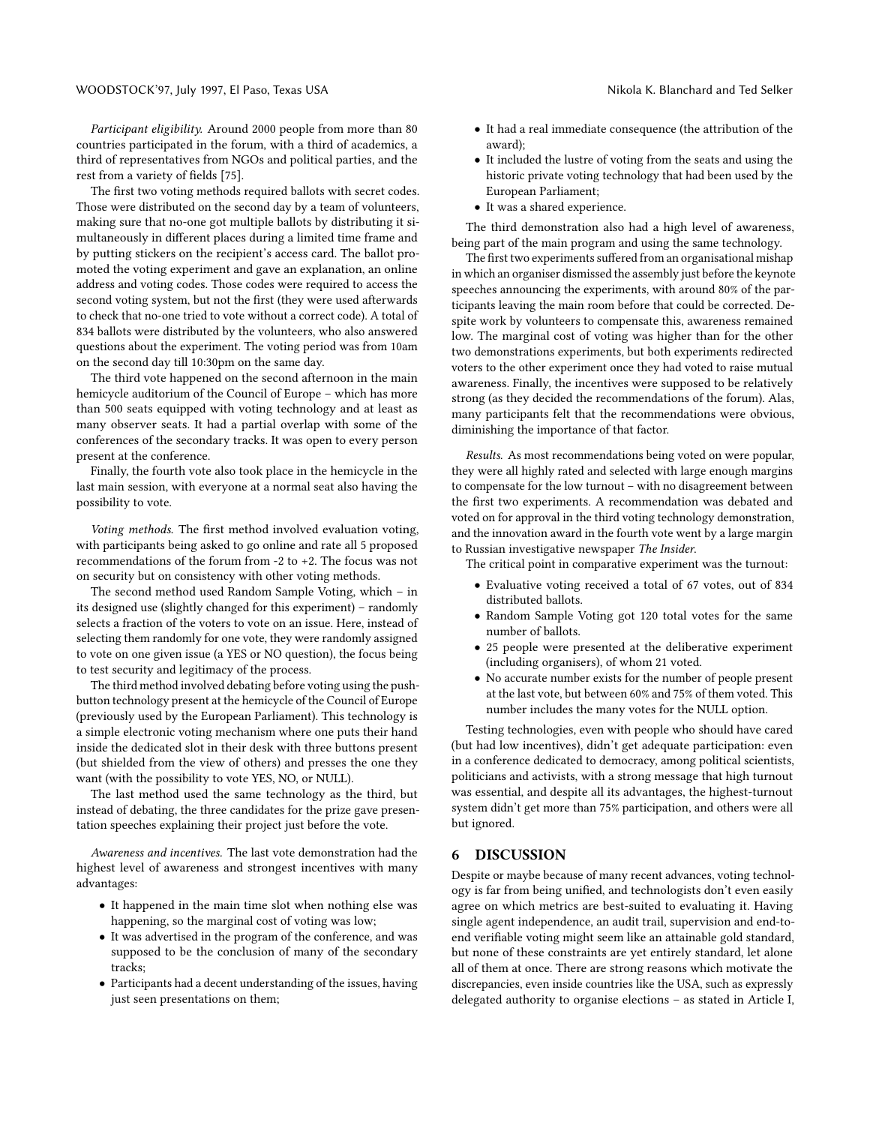Participant eligibility. Around 2000 people from more than 80 countries participated in the forum, with a third of academics, a third of representatives from NGOs and political parties, and the rest from a variety of fields [\[75\]](#page-7-48).

The first two voting methods required ballots with secret codes. Those were distributed on the second day by a team of volunteers, making sure that no-one got multiple ballots by distributing it simultaneously in different places during a limited time frame and by putting stickers on the recipient's access card. The ballot promoted the voting experiment and gave an explanation, an online address and voting codes. Those codes were required to access the second voting system, but not the first (they were used afterwards to check that no-one tried to vote without a correct code). A total of 834 ballots were distributed by the volunteers, who also answered questions about the experiment. The voting period was from 10am on the second day till 10:30pm on the same day.

The third vote happened on the second afternoon in the main hemicycle auditorium of the Council of Europe – which has more than 500 seats equipped with voting technology and at least as many observer seats. It had a partial overlap with some of the conferences of the secondary tracks. It was open to every person present at the conference.

Finally, the fourth vote also took place in the hemicycle in the last main session, with everyone at a normal seat also having the possibility to vote.

Voting methods. The first method involved evaluation voting, with participants being asked to go online and rate all 5 proposed recommendations of the forum from -2 to +2. The focus was not on security but on consistency with other voting methods.

The second method used Random Sample Voting, which – in its designed use (slightly changed for this experiment) – randomly selects a fraction of the voters to vote on an issue. Here, instead of selecting them randomly for one vote, they were randomly assigned to vote on one given issue (a YES or NO question), the focus being to test security and legitimacy of the process.

The third method involved debating before voting using the pushbutton technology present at the hemicycle of the Council of Europe (previously used by the European Parliament). This technology is a simple electronic voting mechanism where one puts their hand inside the dedicated slot in their desk with three buttons present (but shielded from the view of others) and presses the one they want (with the possibility to vote YES, NO, or NULL).

The last method used the same technology as the third, but instead of debating, the three candidates for the prize gave presentation speeches explaining their project just before the vote.

Awareness and incentives. The last vote demonstration had the highest level of awareness and strongest incentives with many advantages:

- It happened in the main time slot when nothing else was happening, so the marginal cost of voting was low;
- It was advertised in the program of the conference, and was supposed to be the conclusion of many of the secondary tracks;
- Participants had a decent understanding of the issues, having just seen presentations on them;
- It had a real immediate consequence (the attribution of the award);
- It included the lustre of voting from the seats and using the historic private voting technology that had been used by the European Parliament;
- It was a shared experience.

The third demonstration also had a high level of awareness, being part of the main program and using the same technology.

The first two experiments suffered from an organisational mishap in which an organiser dismissed the assembly just before the keynote speeches announcing the experiments, with around 80% of the participants leaving the main room before that could be corrected. Despite work by volunteers to compensate this, awareness remained low. The marginal cost of voting was higher than for the other two demonstrations experiments, but both experiments redirected voters to the other experiment once they had voted to raise mutual awareness. Finally, the incentives were supposed to be relatively strong (as they decided the recommendations of the forum). Alas, many participants felt that the recommendations were obvious, diminishing the importance of that factor.

Results. As most recommendations being voted on were popular, they were all highly rated and selected with large enough margins to compensate for the low turnout – with no disagreement between the first two experiments. A recommendation was debated and voted on for approval in the third voting technology demonstration, and the innovation award in the fourth vote went by a large margin to Russian investigative newspaper The Insider.

The critical point in comparative experiment was the turnout:

- Evaluative voting received a total of 67 votes, out of 834 distributed ballots.
- Random Sample Voting got 120 total votes for the same number of ballots.
- 25 people were presented at the deliberative experiment (including organisers), of whom 21 voted.
- No accurate number exists for the number of people present at the last vote, but between 60% and 75% of them voted. This number includes the many votes for the NULL option.

Testing technologies, even with people who should have cared (but had low incentives), didn't get adequate participation: even in a conference dedicated to democracy, among political scientists, politicians and activists, with a strong message that high turnout was essential, and despite all its advantages, the highest-turnout system didn't get more than 75% participation, and others were all but ignored.

#### 6 DISCUSSION

Despite or maybe because of many recent advances, voting technology is far from being unified, and technologists don't even easily agree on which metrics are best-suited to evaluating it. Having single agent independence, an audit trail, supervision and end-toend verifiable voting might seem like an attainable gold standard, but none of these constraints are yet entirely standard, let alone all of them at once. There are strong reasons which motivate the discrepancies, even inside countries like the USA, such as expressly delegated authority to organise elections – as stated in Article I,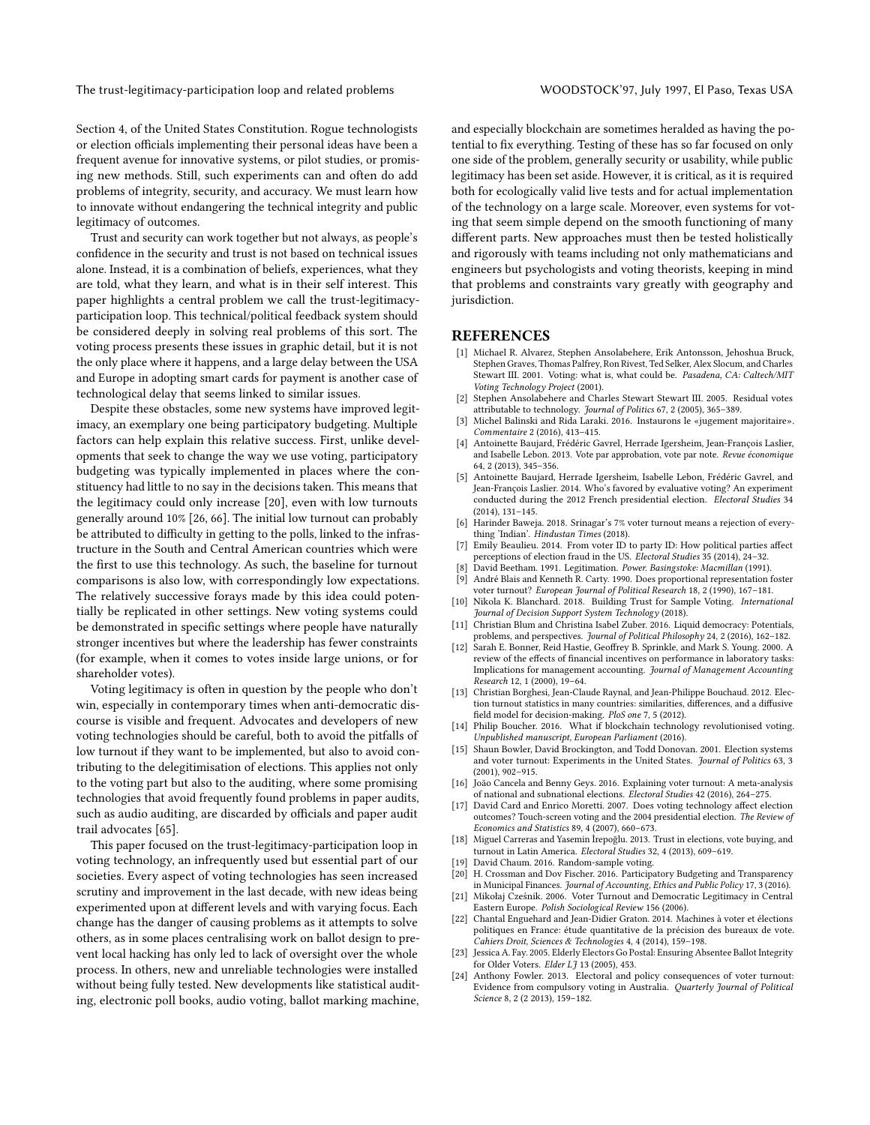The trust-legitimacy-participation loop and related problems WOODSTOCK'97, July 1997, El Paso, Texas USA

Section 4, of the United States Constitution. Rogue technologists or election officials implementing their personal ideas have been a frequent avenue for innovative systems, or pilot studies, or promising new methods. Still, such experiments can and often do add problems of integrity, security, and accuracy. We must learn how to innovate without endangering the technical integrity and public legitimacy of outcomes.

Trust and security can work together but not always, as people's confidence in the security and trust is not based on technical issues alone. Instead, it is a combination of beliefs, experiences, what they are told, what they learn, and what is in their self interest. This paper highlights a central problem we call the trust-legitimacyparticipation loop. This technical/political feedback system should be considered deeply in solving real problems of this sort. The voting process presents these issues in graphic detail, but it is not the only place where it happens, and a large delay between the USA and Europe in adopting smart cards for payment is another case of technological delay that seems linked to similar issues.

Despite these obstacles, some new systems have improved legitimacy, an exemplary one being participatory budgeting. Multiple factors can help explain this relative success. First, unlike developments that seek to change the way we use voting, participatory budgeting was typically implemented in places where the constituency had little to no say in the decisions taken. This means that the legitimacy could only increase [\[20\]](#page-6-23), even with low turnouts generally around 10% [\[26,](#page-7-49) [66\]](#page-7-50). The initial low turnout can probably be attributed to difficulty in getting to the polls, linked to the infrastructure in the South and Central American countries which were the first to use this technology. As such, the baseline for turnout comparisons is also low, with correspondingly low expectations. The relatively successive forays made by this idea could potentially be replicated in other settings. New voting systems could be demonstrated in specific settings where people have naturally stronger incentives but where the leadership has fewer constraints (for example, when it comes to votes inside large unions, or for shareholder votes).

Voting legitimacy is often in question by the people who don't win, especially in contemporary times when anti-democratic discourse is visible and frequent. Advocates and developers of new voting technologies should be careful, both to avoid the pitfalls of low turnout if they want to be implemented, but also to avoid contributing to the delegitimisation of elections. This applies not only to the voting part but also to the auditing, where some promising technologies that avoid frequently found problems in paper audits, such as audio auditing, are discarded by officials and paper audit trail advocates [\[65\]](#page-7-51).

This paper focused on the trust-legitimacy-participation loop in voting technology, an infrequently used but essential part of our societies. Every aspect of voting technologies has seen increased scrutiny and improvement in the last decade, with new ideas being experimented upon at different levels and with varying focus. Each change has the danger of causing problems as it attempts to solve others, as in some places centralising work on ballot design to prevent local hacking has only led to lack of oversight over the whole process. In others, new and unreliable technologies were installed without being fully tested. New developments like statistical auditing, electronic poll books, audio voting, ballot marking machine,

and especially blockchain are sometimes heralded as having the potential to fix everything. Testing of these has so far focused on only one side of the problem, generally security or usability, while public legitimacy has been set aside. However, it is critical, as it is required both for ecologically valid live tests and for actual implementation of the technology on a large scale. Moreover, even systems for voting that seem simple depend on the smooth functioning of many different parts. New approaches must then be tested holistically and rigorously with teams including not only mathematicians and engineers but psychologists and voting theorists, keeping in mind that problems and constraints vary greatly with geography and jurisdiction.

#### REFERENCES

- <span id="page-6-0"></span>[1] Michael R. Alvarez, Stephen Ansolabehere, Erik Antonsson, Jehoshua Bruck, Stephen Graves, Thomas Palfrey, Ron Rivest, Ted Selker, Alex Slocum, and Charles Stewart III. 2001. Voting: what is, what could be. Pasadena, CA: Caltech/MIT Voting Technology Project (2001).
- <span id="page-6-10"></span>[2] Stephen Ansolabehere and Charles Stewart Stewart III. 2005. Residual votes attributable to technology. Journal of Politics 67, 2 (2005), 365–389.
- <span id="page-6-14"></span>[3] Michel Balinski and Rida Laraki. 2016. Instaurons le «jugement majoritaire». Commentaire 2 (2016), 413–415.
- <span id="page-6-13"></span>Antoinette Baujard, Frédéric Gavrel, Herrade Igersheim, Jean-François Laslier, and Isabelle Lebon. 2013. Vote par approbation, vote par note. Revue économique 64, 2 (2013), 345–356.
- <span id="page-6-12"></span>[5] Antoinette Baujard, Herrade Igersheim, Isabelle Lebon, Frédéric Gavrel, and Jean-François Laslier. 2014. Who's favored by evaluative voting? An experiment conducted during the 2012 French presidential election. Electoral Studies 34 (2014), 131–145.
- <span id="page-6-9"></span>[6] Harinder Baweja. 2018. Srinagar's 7% voter turnout means a rejection of everything 'Indian'. Hindustan Times (2018).
- <span id="page-6-1"></span>[7] Emily Beaulieu. 2014. From voter ID to party ID: How political parties affect
- <span id="page-6-8"></span>perceptions of election fraud in the US. Electoral Studies 35 (2014), 24–32. [8] David Beetham. 1991. Legitimation. Power. Basingstoke: Macmillan (1991).
- <span id="page-6-21"></span>[9] André Blais and Kenneth R. Carty. 1990. Does proportional representation foster voter turnout? European Journal of Political Research 18, 2 (1990), 167–181.
- <span id="page-6-17"></span>[10] Nikola K. Blanchard. 2018. Building Trust for Sample Voting. International Journal of Decision Support System Technology (2018).
- <span id="page-6-15"></span>[11] Christian Blum and Christina Isabel Zuber. 2016. Liquid democracy: Potentials, problems, and perspectives. Journal of Political Philosophy 24, 2 (2016), 162–182.
- <span id="page-6-11"></span>[12] Sarah E. Bonner, Reid Hastie, Geoffrey B. Sprinkle, and Mark S. Young. 2000. A review of the effects of financial incentives on performance in laboratory tasks: Implications for management accounting. Journal of Management Accounting Research 12, 1 (2000), 19–64.
- <span id="page-6-4"></span>[13] Christian Borghesi, Jean-Claude Raynal, and Jean-Philippe Bouchaud. 2012. Election turnout statistics in many countries: similarities, differences, and a diffusive field model for decision-making. PloS one 7, 5 (2012).
- <span id="page-6-16"></span>[14] Philip Boucher. 2016. What if blockchain technology revolutionised voting. Unpublished manuscript, European Parliament (2016).
- <span id="page-6-22"></span>[15] Shaun Bowler, David Brockington, and Todd Donovan. 2001. Election systems and voter turnout: Experiments in the United States. Journal of Politics 63, 3 (2001), 902–915.
- <span id="page-6-5"></span>[16] João Cancela and Benny Geys. 2016. Explaining voter turnout: A meta-analysis of national and subnational elections. Electoral Studies 42 (2016), 264–275.
- <span id="page-6-20"></span>[17] David Card and Enrico Moretti. 2007. Does voting technology affect election outcomes? Touch-screen voting and the 2004 presidential election. The Review of Economics and Statistics 89, 4 (2007), 660–673.
- <span id="page-6-7"></span>[18] Miguel Carreras and Yasemin İrepoğlu. 2013. Trust in elections, vote buying, and turnout in Latin America. Electoral Studies 32, 4 (2013), 609–619.
- <span id="page-6-18"></span>[19] David Chaum. 2016. Random-sample voting.
- <span id="page-6-23"></span>[20] H. Crossman and Dov Fischer. 2016. Participatory Budgeting and Transparency in Municipal Finances. Journal of Accounting, Ethics and Public Policy 17, 3 (2016).
- <span id="page-6-3"></span>[21] Mikołaj Cześnik. 2006. Voter Turnout and Democratic Legitimacy in Central Eastern Europe. Polish Sociological Review 156 (2006).
- <span id="page-6-19"></span>[22] Chantal Enguehard and Jean-Didier Graton. 2014. Machines à voter et élections politiques en France: étude quantitative de la précision des bureaux de vote. Cahiers Droit, Sciences & Technologies 4, 4 (2014), 159–198.
- <span id="page-6-2"></span>[23] Jessica A. Fay. 2005. Elderly Electors Go Postal: Ensuring Absentee Ballot Integrity for Older Voters. Elder L $\tilde{J}$  13 (2005), 453.
- <span id="page-6-6"></span>[24] Anthony Fowler. 2013. Electoral and policy consequences of voter turnout: Evidence from compulsory voting in Australia. Quarterly Journal of Political Science 8, 2 (2 2013), 159–182.